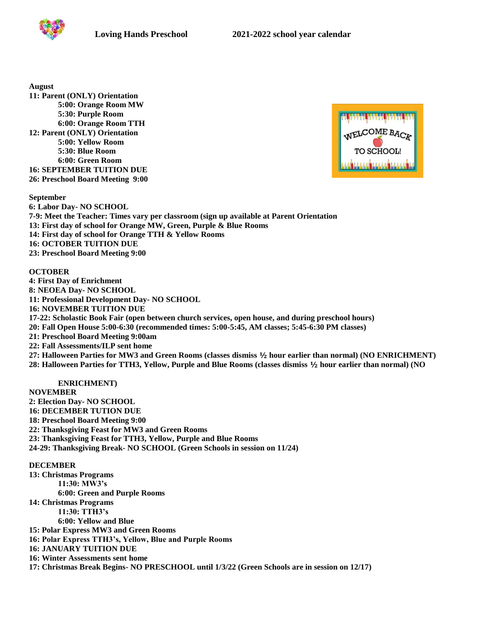

**August**

**11: Parent (ONLY) Orientation 5:00: Orange Room MW 5:30: Purple Room 6:00: Orange Room TTH 12: Parent (ONLY) Orientation 5:00: Yellow Room 5:30: Blue Room 6:00: Green Room 16: SEPTEMBER TUITION DUE 26: Preschool Board Meeting 9:00**



**September 6: Labor Day- NO SCHOOL 7-9: Meet the Teacher: Times vary per classroom (sign up available at Parent Orientation 13: First day of school for Orange MW, Green, Purple & Blue Rooms 14: First day of school for Orange TTH & Yellow Rooms 16: OCTOBER TUITION DUE 23: Preschool Board Meeting 9:00**

# **OCTOBER**

**4: First Day of Enrichment 8: NEOEA Day- NO SCHOOL 11: Professional Development Day- NO SCHOOL 16: NOVEMBER TUITION DUE 17-22: Scholastic Book Fair (open between church services, open house, and during preschool hours) 20: Fall Open House 5:00-6:30 (recommended times: 5:00-5:45, AM classes; 5:45-6:30 PM classes) 21: Preschool Board Meeting 9:00am 22: Fall Assessments/ILP sent home 27: Halloween Parties for MW3 and Green Rooms (classes dismiss ½ hour earlier than normal) (NO ENRICHMENT) 28: Halloween Parties for TTH3, Yellow, Purple and Blue Rooms (classes dismiss ½ hour earlier than normal) (NO** 

## **ENRICHMENT)**

**NOVEMBER**

**2: Election Day- NO SCHOOL**

**16: DECEMBER TUTION DUE** 

**18: Preschool Board Meeting 9:00**

**22: Thanksgiving Feast for MW3 and Green Rooms**

**23: Thanksgiving Feast for TTH3, Yellow, Purple and Blue Rooms**

**24-29: Thanksgiving Break- NO SCHOOL (Green Schools in session on 11/24)**

**DECEMBER**

**13: Christmas Programs 11:30: MW3's 6:00: Green and Purple Rooms 14: Christmas Programs 11:30: TTH3's 6:00: Yellow and Blue 15: Polar Express MW3 and Green Rooms 16: Polar Express TTH3's, Yellow, Blue and Purple Rooms 16: JANUARY TUITION DUE 16: Winter Assessments sent home**

**17: Christmas Break Begins- NO PRESCHOOL until 1/3/22 (Green Schools are in session on 12/17)**